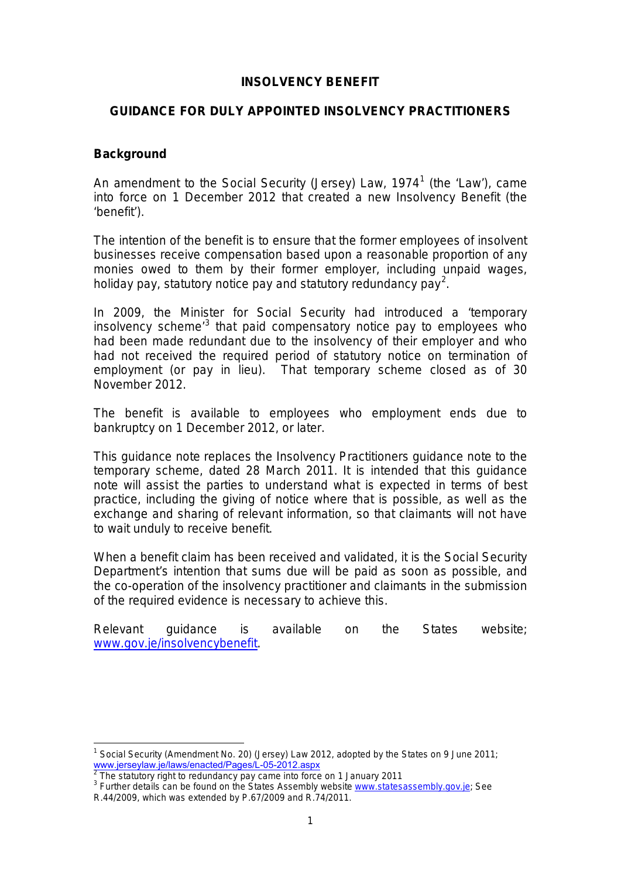### **INSOLVENCY BENEFIT**

### **GUIDANCE FOR DULY APPOINTED INSOLVENCY PRACTITIONERS**

### **Background**

An amendment to the Social Security (Jersey) Law, [1](#page-0-0)974<sup>1</sup> (the 'Law'), came into force on 1 December 2012 that created a new Insolvency Benefit (the 'benefit').

The intention of the benefit is to ensure that the former employees of insolvent businesses receive compensation based upon a reasonable proportion of any monies owed to them by their former employer, including unpaid wages, holiday pay, statutory notice pay and statutory redundancy pay<sup>[2](#page-0-1)</sup>.

In 2009, the Minister for Social Security had introduced a 'temporary insolvency scheme<sup>[3](#page-0-2)</sup> that paid compensatory notice pay to employees who had been made redundant due to the insolvency of their employer and who had not received the required period of statutory notice on termination of employment (or pay in lieu). That temporary scheme closed as of 30 November 2012.

The benefit is available to employees who employment ends due to bankruptcy on 1 December 2012, or later.

This guidance note replaces the Insolvency Practitioners guidance note to the temporary scheme, dated 28 March 2011. It is intended that this guidance note will assist the parties to understand what is expected in terms of best practice, including the giving of notice where that is possible, as well as the exchange and sharing of relevant information, so that claimants will not have to wait unduly to receive benefit.

When a benefit claim has been received and validated, it is the Social Security Department's intention that sums due will be paid as soon as possible, and the co-operation of the insolvency practitioner and claimants in the submission of the required evidence is necessary to achieve this.

Relevant guidance is available on the States website; [www.gov.je/insolvencybenefit.](http://www.gov.je/Working/EmploymentRelations/Pages/InsolvencyBenefit.aspx)

<span id="page-0-0"></span><sup>&</sup>lt;sup>1</sup> Social Security (Amendment No. 20) (Jersey) Law 2012, adopted by the States on 9 June 2011; [www.jerseylaw.je/laws/enacted/Pages/L-05-2012.aspx](https://www.jerseylaw.je/laws/enacted/Pages/L-05-2012.aspx)<br><sup>2</sup> The statutory right to redundancy pay came into force on 1 January 2011

<span id="page-0-3"></span><span id="page-0-2"></span><span id="page-0-1"></span><sup>&</sup>lt;sup>3</sup> Further details can be found on the States Assembly website [www.statesassembly.gov.je;](http://www.statesassembly.gov.je/) See R.44/2009, which was extended by P.67/2009 and R.74/2011.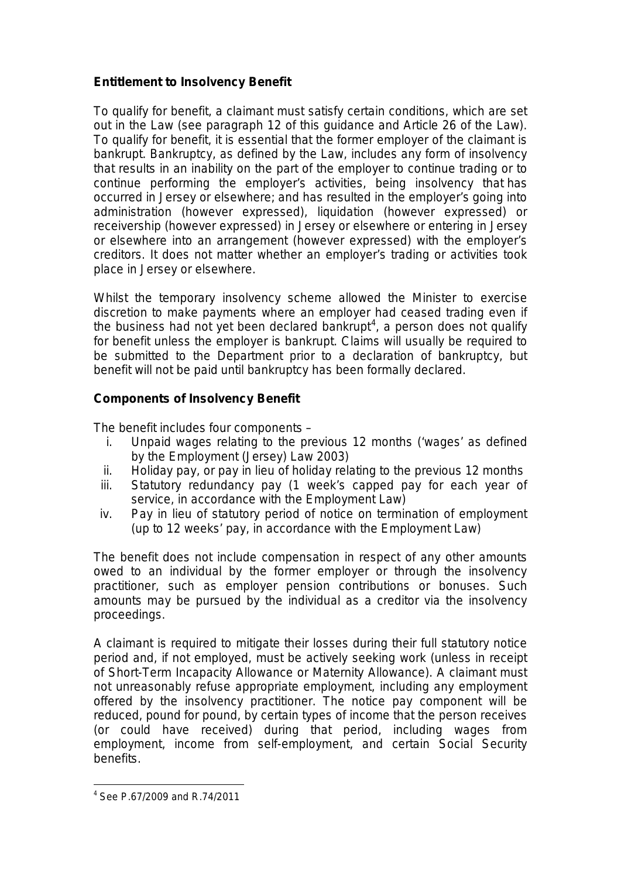# **Entitlement to Insolvency Benefit**

To qualify for benefit, a claimant must satisfy certain conditions, which are set out in the Law (see paragraph 12 of this guidance and Article 26 of the Law). To qualify for benefit, it is essential that the former employer of the claimant is bankrupt. Bankruptcy, as defined by the Law, includes any form of insolvency that results in an inability on the part of the employer to continue trading or to continue performing the employer's activities, being insolvency that has occurred in Jersey or elsewhere; and has resulted in the employer's going into administration (however expressed), liquidation (however expressed) or receivership (however expressed) in Jersey or elsewhere or entering in Jersey or elsewhere into an arrangement (however expressed) with the employer's creditors. It does not matter whether an employer's trading or activities took place in Jersey or elsewhere.

Whilst the temporary insolvency scheme allowed the Minister to exercise discretion to make payments where an employer had ceased trading even if the business had not yet been declared bankrupt<sup>[4](#page-0-3)</sup>, a person does not qualify for benefit unless the employer is bankrupt. Claims will usually be required to be submitted to the Department prior to a declaration of bankruptcy, but benefit will not be paid until bankruptcy has been formally declared.

## **Components of Insolvency Benefit**

The benefit includes four components –

- i. Unpaid wages relating to the previous 12 months ('wages' as defined by the Employment (Jersey) Law 2003)
- ii. Holiday pay, or pay in lieu of holiday relating to the previous 12 months
- iii. Statutory redundancy pay (1 week's capped pay for each year of service, in accordance with the Employment Law)
- iv. Pay in lieu of statutory period of notice on termination of employment (up to 12 weeks' pay, in accordance with the Employment Law)

The benefit does not include compensation in respect of any other amounts owed to an individual by the former employer or through the insolvency practitioner, such as employer pension contributions or bonuses. Such amounts may be pursued by the individual as a creditor via the insolvency proceedings.

A claimant is required to mitigate their losses during their full statutory notice period and, if not employed, must be actively seeking work (unless in receipt of Short-Term Incapacity Allowance or Maternity Allowance). A claimant must not unreasonably refuse appropriate employment, including any employment offered by the insolvency practitioner. The notice pay component will be reduced, pound for pound, by certain types of income that the person receives (or could have received) during that period, including wages from employment, income from self-employment, and certain Social Security benefits.

 $4$  See P.67/2009 and R.74/2011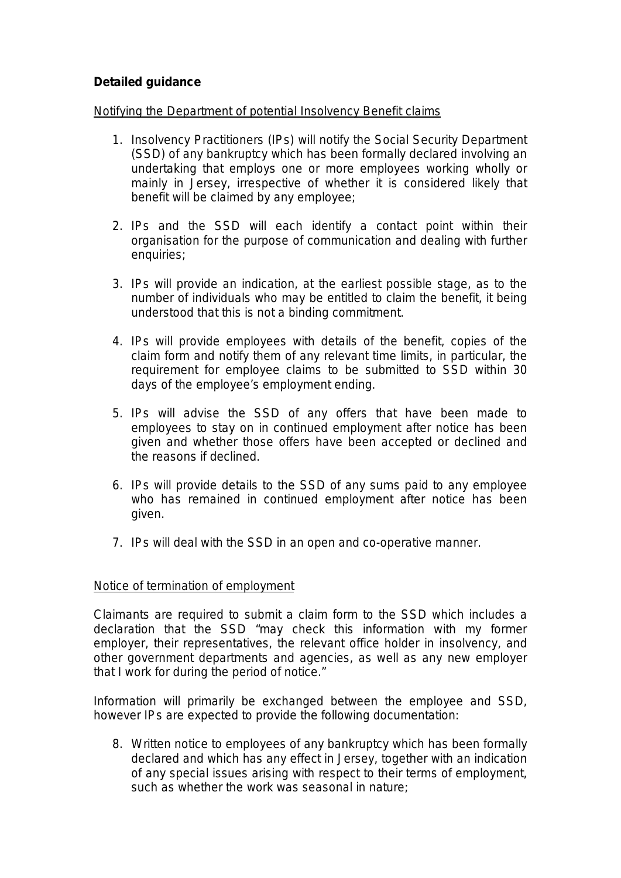# **Detailed guidance**

### Notifying the Department of potential Insolvency Benefit claims

- 1. Insolvency Practitioners (IPs) will notify the Social Security Department (SSD) of any bankruptcy which has been formally declared involving an undertaking that employs one or more employees working wholly or mainly in Jersey, irrespective of whether it is considered likely that benefit will be claimed by any employee;
- 2. IPs and the SSD will each identify a contact point within their organisation for the purpose of communication and dealing with further enquiries;
- 3. IPs will provide an indication, at the earliest possible stage, as to the number of individuals who may be entitled to claim the benefit, it being understood that this is not a binding commitment.
- 4. IPs will provide employees with details of the benefit, copies of the claim form and notify them of any relevant time limits, in particular, the requirement for employee claims to be submitted to SSD within 30 days of the employee's employment ending.
- 5. IPs will advise the SSD of any offers that have been made to employees to stay on in continued employment after notice has been given and whether those offers have been accepted or declined and the reasons if declined.
- 6. IPs will provide details to the SSD of any sums paid to any employee who has remained in continued employment after notice has been given.
- 7. IPs will deal with the SSD in an open and co-operative manner.

#### Notice of termination of employment

Claimants are required to submit a claim form to the SSD which includes a declaration that the SSD *"may check this information with my former employer, their representatives, the relevant office holder in insolvency, and other government departments and agencies, as well as any new employer that I work for during the period of notice."*

Information will primarily be exchanged between the employee and SSD, however IPs are expected to provide the following documentation:

8. Written notice to employees of any bankruptcy which has been formally declared and which has any effect in Jersey, together with an indication of any special issues arising with respect to their terms of employment, such as whether the work was seasonal in nature;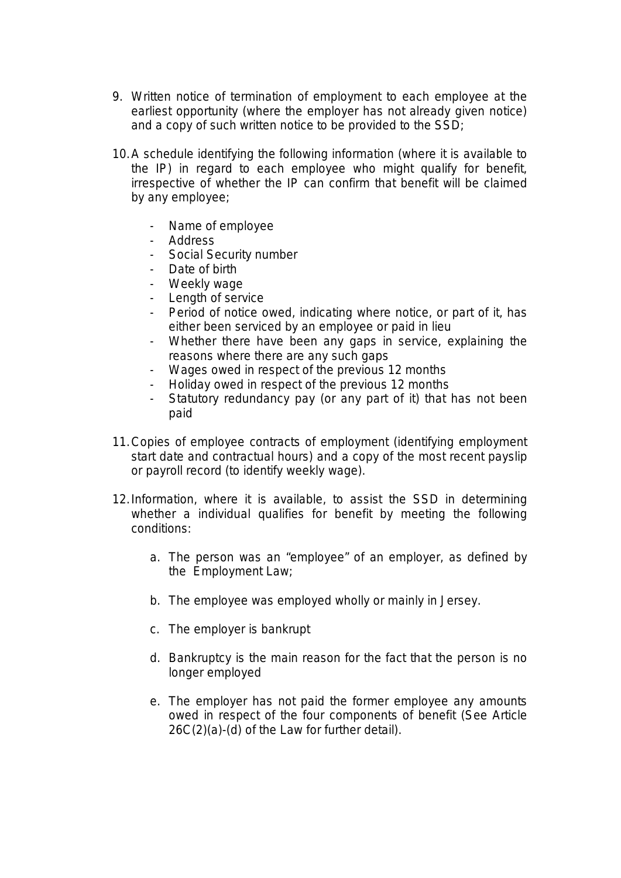- 9. Written notice of termination of employment to each employee at the earliest opportunity (where the employer has not already given notice) and a copy of such written notice to be provided to the SSD;
- 10. A schedule identifying the following information (where it is available to the IP) in regard to each employee who might qualify for benefit, irrespective of whether the IP can confirm that benefit will be claimed by any employee;
	- Name of employee
	- Address
	- Social Security number
	- Date of birth
	- Weekly wage
	- Length of service
	- Period of notice owed, indicating where notice, or part of it, has either been serviced by an employee or paid in lieu
	- Whether there have been any gaps in service, explaining the reasons where there are any such gaps
	- Wages owed in respect of the previous 12 months
	- Holiday owed in respect of the previous 12 months
	- Statutory redundancy pay (or any part of it) that has not been paid
- 11.Copies of employee contracts of employment (identifying employment start date and contractual hours) and a copy of the most recent payslip or payroll record (to identify weekly wage).
- 12.Information, where it is available, to assist the SSD in determining whether a individual qualifies for benefit by meeting the following conditions:
	- a. The person was an "employee" of an employer, as defined by the Employment Law;
	- b. The employee was employed wholly or mainly in Jersey.
	- c. The employer is bankrupt
	- d. Bankruptcy is the main reason for the fact that the person is no longer employed
	- e. The employer has not paid the former employee any amounts owed in respect of the four components of benefit (See Article 26C(2)(a)-(d) of the Law for further detail).